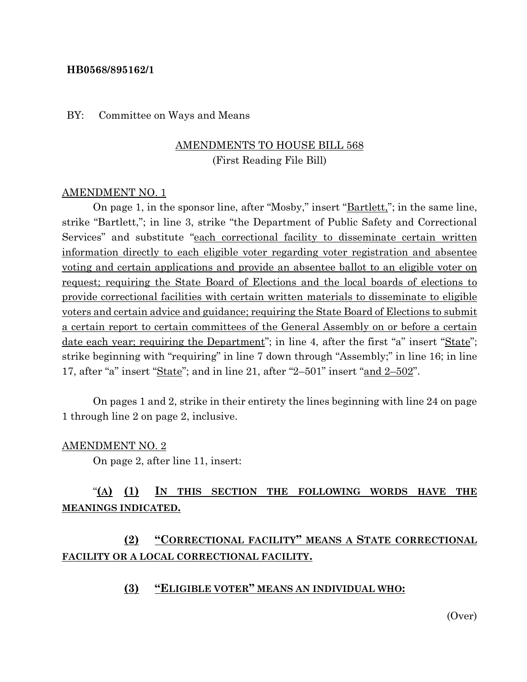#### **HB0568/895162/1**

#### BY: Committee on Ways and Means

## AMENDMENTS TO HOUSE BILL 568 (First Reading File Bill)

#### AMENDMENT NO. 1

On page 1, in the sponsor line, after "Mosby," insert "<u>Bartlett,</u>"; in the same line, strike "Bartlett,"; in line 3, strike "the Department of Public Safety and Correctional Services" and substitute "each correctional facility to disseminate certain written information directly to each eligible voter regarding voter registration and absentee voting and certain applications and provide an absentee ballot to an eligible voter on request; requiring the State Board of Elections and the local boards of elections to provide correctional facilities with certain written materials to disseminate to eligible voters and certain advice and guidance; requiring the State Board of Elections to submit a certain report to certain committees of the General Assembly on or before a certain date each year; requiring the Department"; in line 4, after the first "a" insert "State"; strike beginning with "requiring" in line 7 down through "Assembly;" in line 16; in line 17, after "a" insert "State"; and in line 21, after "2–501" insert "and 2–502".

On pages 1 and 2, strike in their entirety the lines beginning with line 24 on page 1 through line 2 on page 2, inclusive.

#### AMENDMENT NO. 2

On page 2, after line 11, insert:

## "**(A) (1) IN THIS SECTION THE FOLLOWING WORDS HAVE THE MEANINGS INDICATED.**

## **(2) "CORRECTIONAL FACILITY" MEANS A STATE CORRECTIONAL FACILITY OR A LOCAL CORRECTIONAL FACILITY.**

#### **(3) "ELIGIBLE VOTER" MEANS AN INDIVIDUAL WHO:**

(Over)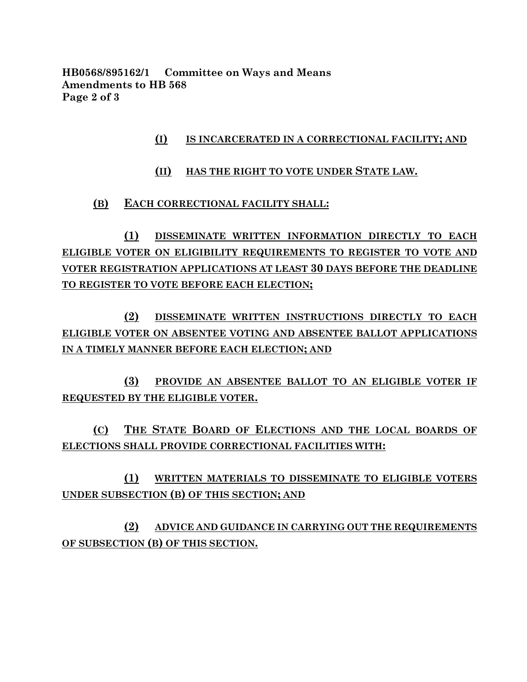**HB0568/895162/1 Committee on Ways and Means Amendments to HB 568 Page 2 of 3**

## **(I) IS INCARCERATED IN A CORRECTIONAL FACILITY; AND**

## **(II) HAS THE RIGHT TO VOTE UNDER STATE LAW.**

### **(B) EACH CORRECTIONAL FACILITY SHALL:**

**(1) DISSEMINATE WRITTEN INFORMATION DIRECTLY TO EACH ELIGIBLE VOTER ON ELIGIBILITY REQUIREMENTS TO REGISTER TO VOTE AND VOTER REGISTRATION APPLICATIONS AT LEAST 30 DAYS BEFORE THE DEADLINE TO REGISTER TO VOTE BEFORE EACH ELECTION;**

**(2) DISSEMINATE WRITTEN INSTRUCTIONS DIRECTLY TO EACH ELIGIBLE VOTER ON ABSENTEE VOTING AND ABSENTEE BALLOT APPLICATIONS IN A TIMELY MANNER BEFORE EACH ELECTION; AND** 

**(3) PROVIDE AN ABSENTEE BALLOT TO AN ELIGIBLE VOTER IF REQUESTED BY THE ELIGIBLE VOTER.**

**(C) THE STATE BOARD OF ELECTIONS AND THE LOCAL BOARDS OF ELECTIONS SHALL PROVIDE CORRECTIONAL FACILITIES WITH:**

**(1) WRITTEN MATERIALS TO DISSEMINATE TO ELIGIBLE VOTERS UNDER SUBSECTION (B) OF THIS SECTION; AND** 

**(2) ADVICE AND GUIDANCE IN CARRYING OUT THE REQUIREMENTS OF SUBSECTION (B) OF THIS SECTION.**